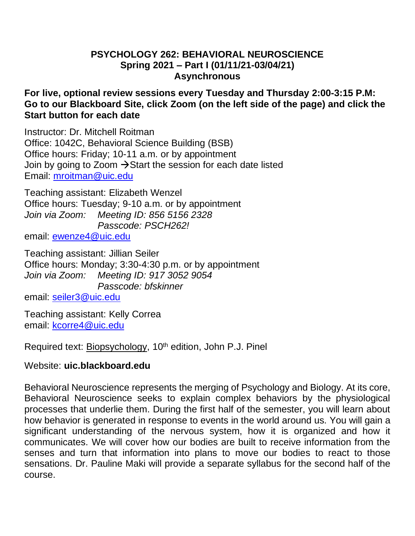### **PSYCHOLOGY 262: BEHAVIORAL NEUROSCIENCE Spring 2021 – Part I (01/11/21-03/04/21) Asynchronous**

## **For live, optional review sessions every Tuesday and Thursday 2:00-3:15 P.M: Go to our Blackboard Site, click Zoom (on the left side of the page) and click the Start button for each date**

Instructor: Dr. Mitchell Roitman Office: 1042C, Behavioral Science Building (BSB) Office hours: Friday; 10-11 a.m. or by appointment Join by going to Zoom  $\rightarrow$  Start the session for each date listed Email: [mroitman@uic.edu](mailto:mroitman@uic.edu)

Teaching assistant: Elizabeth Wenzel Office hours: Tuesday; 9-10 a.m. or by appointment *Join via Zoom: Meeting ID: 856 5156 2328 Passcode: PSCH262!*

email: [ewenze4@uic.edu](mailto:ewenze4@uic.edu)

Teaching assistant: Jillian Seiler Office hours: Monday; 3:30-4:30 p.m. or by appointment *Join via Zoom: Meeting ID: 917 3052 9054 Passcode: bfskinner*

email: [seiler3@uic.edu](mailto:seiler3@uic.edu)

Teaching assistant: Kelly Correa email: [kcorre4@uic.edu](mailto:kcorre4@uic.edu)

Required text: Biopsychology, 10<sup>th</sup> edition, John P.J. Pinel

# Website: **uic.blackboard.edu**

Behavioral Neuroscience represents the merging of Psychology and Biology. At its core, Behavioral Neuroscience seeks to explain complex behaviors by the physiological processes that underlie them. During the first half of the semester, you will learn about how behavior is generated in response to events in the world around us. You will gain a significant understanding of the nervous system, how it is organized and how it communicates. We will cover how our bodies are built to receive information from the senses and turn that information into plans to move our bodies to react to those sensations. Dr. Pauline Maki will provide a separate syllabus for the second half of the course.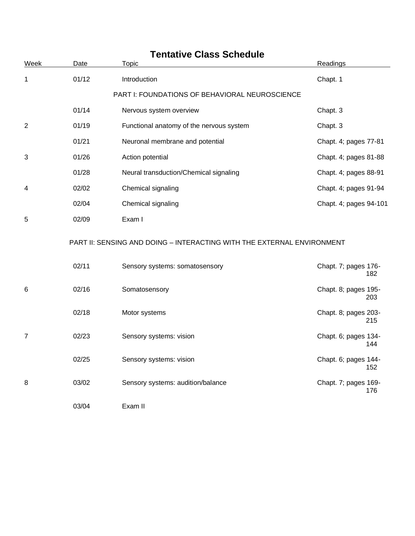| <b>Tentative Class Schedule</b> |       |                                                                        |                             |
|---------------------------------|-------|------------------------------------------------------------------------|-----------------------------|
| Week                            | Date  | <b>Topic</b>                                                           | Readings                    |
| 1                               | 01/12 | Introduction                                                           | Chapt. 1                    |
|                                 |       | PART I: FOUNDATIONS OF BEHAVIORAL NEUROSCIENCE                         |                             |
|                                 | 01/14 | Nervous system overview                                                | Chapt. 3                    |
| 2                               | 01/19 | Functional anatomy of the nervous system                               | Chapt. 3                    |
|                                 | 01/21 | Neuronal membrane and potential                                        | Chapt. 4; pages 77-81       |
| 3                               | 01/26 | Action potential                                                       | Chapt. 4; pages 81-88       |
|                                 | 01/28 | Neural transduction/Chemical signaling                                 | Chapt. 4; pages 88-91       |
| 4                               | 02/02 | Chemical signaling                                                     | Chapt. 4; pages 91-94       |
|                                 | 02/04 | Chemical signaling                                                     | Chapt. 4; pages 94-101      |
| 5                               | 02/09 | Exam I                                                                 |                             |
|                                 |       | PART II: SENSING AND DOING - INTERACTING WITH THE EXTERNAL ENVIRONMENT |                             |
|                                 | 02/11 | Sensory systems: somatosensory                                         | Chapt. 7; pages 176-<br>182 |
| 6                               | 02/16 | Somatosensory                                                          | Chapt. 8; pages 195-<br>203 |
|                                 | 02/18 | Motor systems                                                          | Chapt. 8; pages 203-<br>215 |
| 7                               | 02/23 | Sensory systems: vision                                                | Chapt. 6; pages 134-<br>144 |
|                                 | 02/25 | Sensory systems: vision                                                | Chapt. 6; pages 144-<br>152 |
| 8                               | 03/02 | Sensory systems: audition/balance                                      | Chapt. 7; pages 169-<br>176 |
|                                 | 03/04 | Exam II                                                                |                             |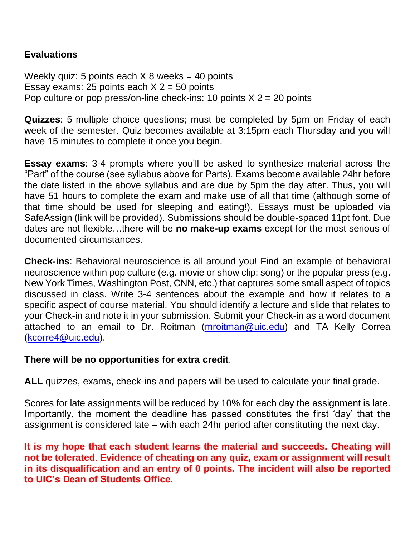## **Evaluations**

Weekly quiz: 5 points each  $X$  8 weeks = 40 points Essay exams: 25 points each  $X$  2 = 50 points Pop culture or pop press/on-line check-ins: 10 points  $X$  2 = 20 points

**Quizzes**: 5 multiple choice questions; must be completed by 5pm on Friday of each week of the semester. Quiz becomes available at 3:15pm each Thursday and you will have 15 minutes to complete it once you begin.

**Essay exams**: 3-4 prompts where you'll be asked to synthesize material across the "Part" of the course (see syllabus above for Parts). Exams become available 24hr before the date listed in the above syllabus and are due by 5pm the day after. Thus, you will have 51 hours to complete the exam and make use of all that time (although some of that time should be used for sleeping and eating!). Essays must be uploaded via SafeAssign (link will be provided). Submissions should be double-spaced 11pt font. Due dates are not flexible…there will be **no make-up exams** except for the most serious of documented circumstances.

**Check-ins**: Behavioral neuroscience is all around you! Find an example of behavioral neuroscience within pop culture (e.g. movie or show clip; song) or the popular press (e.g. New York Times, Washington Post, CNN, etc.) that captures some small aspect of topics discussed in class. Write 3-4 sentences about the example and how it relates to a specific aspect of course material. You should identify a lecture and slide that relates to your Check-in and note it in your submission. Submit your Check-in as a word document attached to an email to Dr. Roitman [\(mroitman@uic.edu\)](mailto:mroitman@uic.edu) and TA Kelly Correa [\(kcorre4@uic.edu\)](mailto:kcorre4@uic.edu).

## **There will be no opportunities for extra credit**.

**ALL** quizzes, exams, check-ins and papers will be used to calculate your final grade.

Scores for late assignments will be reduced by 10% for each day the assignment is late. Importantly, the moment the deadline has passed constitutes the first 'day' that the assignment is considered late – with each 24hr period after constituting the next day.

**It is my hope that each student learns the material and succeeds. Cheating will not be tolerated**. **Evidence of cheating on any quiz, exam or assignment will result in its disqualification and an entry of 0 points. The incident will also be reported to UIC's Dean of Students Office.**